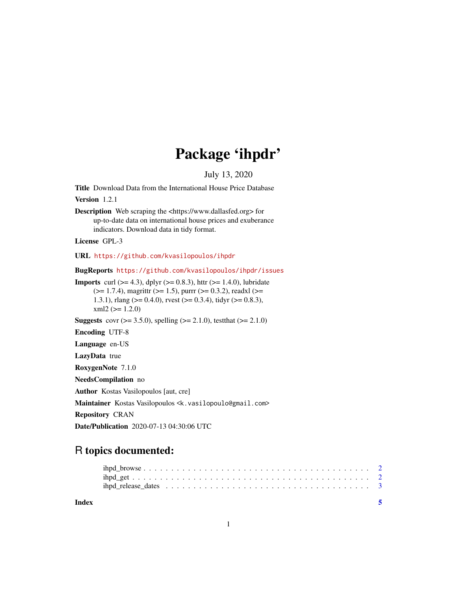# Package 'ihpdr'

July 13, 2020

Title Download Data from the International House Price Database

Version 1.2.1

Description Web scraping the <https://www.dallasfed.org> for up-to-date data on international house prices and exuberance indicators. Download data in tidy format.

License GPL-3

URL <https://github.com/kvasilopoulos/ihpdr>

BugReports <https://github.com/kvasilopoulos/ihpdr/issues>

**Imports** curl ( $>= 4.3$ ), dplyr ( $>= 0.8.3$ ), httr ( $>= 1.4.0$ ), lubridate  $(>= 1.7.4)$ , magrittr  $(>= 1.5)$ , purrr  $(>= 0.3.2)$ , readxl  $(>= 1.5)$ 1.3.1), rlang ( $> = 0.4.0$ ), rvest ( $> = 0.3.4$ ), tidyr ( $> = 0.8.3$ ),  $xml2 (= 1.2.0)$ 

**Suggests** covr ( $> = 3.5.0$ ), spelling ( $> = 2.1.0$ ), test that ( $> = 2.1.0$ )

Encoding UTF-8

Language en-US

LazyData true

RoxygenNote 7.1.0

NeedsCompilation no

Author Kostas Vasilopoulos [aut, cre]

Maintainer Kostas Vasilopoulos <k.vasilopoulo@gmail.com>

Repository CRAN

Date/Publication 2020-07-13 04:30:06 UTC

# R topics documented:

| Index |  |
|-------|--|
|       |  |
|       |  |

1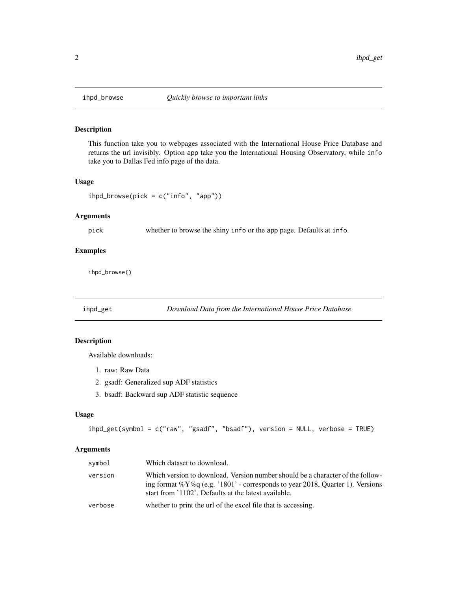<span id="page-1-0"></span>

#### Description

This function take you to webpages associated with the International House Price Database and returns the url invisibly. Option app take you the International Housing Observatory, while info take you to Dallas Fed info page of the data.

#### Usage

```
ihpd_browse(pick = c("info", "app"))
```
#### Arguments

pick whether to browse the shiny info or the app page. Defaults at info.

#### Examples

ihpd\_browse()

ihpd\_get *Download Data from the International House Price Database*

#### Description

Available downloads:

- 1. raw: Raw Data
- 2. gsadf: Generalized sup ADF statistics
- 3. bsadf: Backward sup ADF statistic sequence

#### Usage

ihpd\_get(symbol = c("raw", "gsadf", "bsadf"), version = NULL, verbose = TRUE)

#### Arguments

| symbol  | Which dataset to download.                                                                                                                                                                                                  |
|---------|-----------------------------------------------------------------------------------------------------------------------------------------------------------------------------------------------------------------------------|
| version | Which version to download. Version number should be a character of the follow-<br>ing format % $Y\%q$ (e.g. '1801' - corresponds to year 2018, Quarter 1). Versions<br>start from '1102'. Defaults at the latest available. |
| verbose | whether to print the url of the excel file that is accessing.                                                                                                                                                               |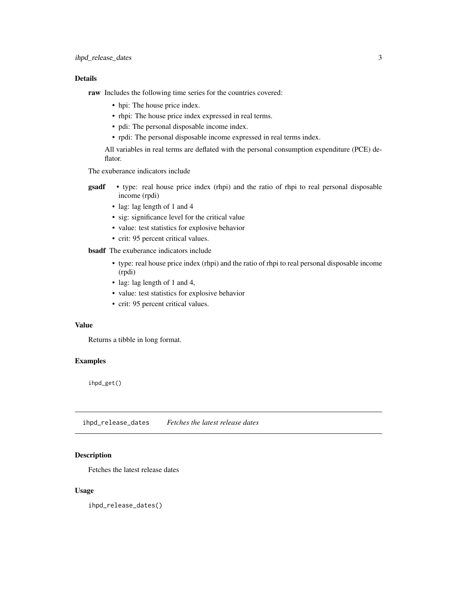#### <span id="page-2-0"></span>Details

raw Includes the following time series for the countries covered:

- hpi: The house price index.
- rhpi: The house price index expressed in real terms.
- pdi: The personal disposable income index.
- rpdi: The personal disposable income expressed in real terms index.

All variables in real terms are deflated with the personal consumption expenditure (PCE) deflator.

The exuberance indicators include

- gsadf type: real house price index (rhpi) and the ratio of rhpi to real personal disposable income (rpdi)
	- lag: lag length of 1 and 4
	- sig: significance level for the critical value
	- value: test statistics for explosive behavior
	- crit: 95 percent critical values.

#### bsadf The exuberance indicators include

- type: real house price index (rhpi) and the ratio of rhpi to real personal disposable income (rpdi)
- lag: lag length of 1 and 4,
- value: test statistics for explosive behavior
- crit: 95 percent critical values.

#### Value

Returns a tibble in long format.

#### Examples

ihpd\_get()

ihpd\_release\_dates *Fetches the latest release dates*

#### Description

Fetches the latest release dates

#### Usage

ihpd\_release\_dates()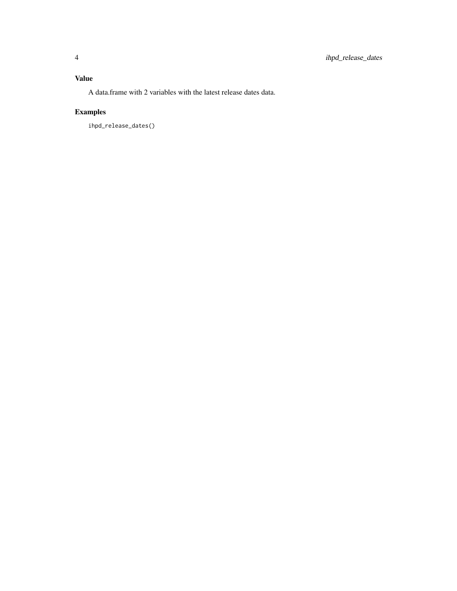### Value

A data.frame with 2 variables with the latest release dates data.

## Examples

ihpd\_release\_dates()